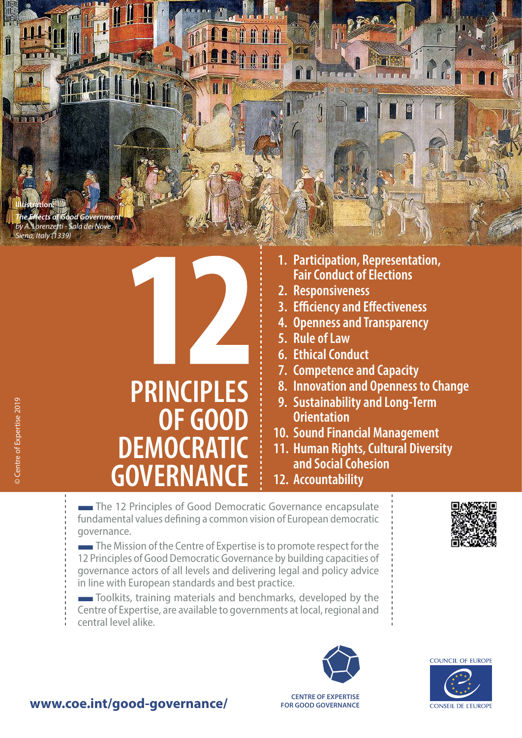**Illustration:** *The Effects of Good Government by A. Lorenzetti - Sala dei Nove Siena, Italy (1339)*

INIEN



- **1. Participation, Representation, Fair Conduct of Elections**
- **2. Responsiveness**
- **3. Efficiency and Effectiveness**
- **4. Openness and Transparency**
- **5. Rule of Law**
- **6. Ethical Conduct**
- **7. Competence and Capacity**
- **8. Innovation and Openness to Change**
- **9. Sustainability and Long-Term Orientation**
- **10. Sound Financial Management**
- **11. Human Rights, Cultural Diversity and Social Cohesion**
- **12. Accountability**

The 12 Principles of Good Democratic Governance encapsulate fundamental values defining a common vision of European democratic governance.

**The Mission of the Centre of Expertise is to promote respect for the** 12 Principles of Good Democratic Governance by building capacities of governance actors of all levels and delivering legal and policy advice in line with European standards and best practice.

■Toolkits, training materials and benchmarks, developed by the Centre of Expertise, are available to governments at local, regional and central level alike.





COUNCIL OF FUROPE